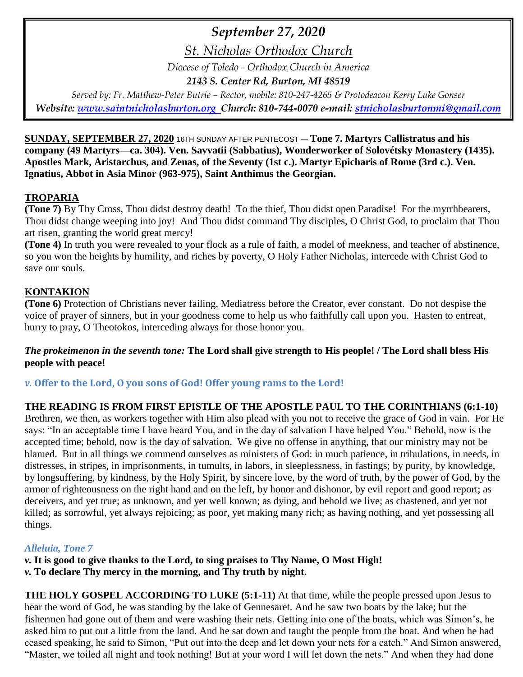# *September 27, 2020*

*St. Nicholas Orthodox Church*

*Diocese of Toledo - Orthodox Church in America*

*2143 S. Center Rd, Burton, MI 48519*

*Served by: Fr. Matthew-Peter Butrie – Rector, mobile: 810-247-4265 & Protodeacon Kerry Luke Gonser Website: [www.saintnicholasburton.org](http://www.saintnicholasburton.org/) Church: 810-744-0070 e-mail: [stnicholasburtonmi@gmail.com](mailto:stnicholasburtonmi@gmail.com)*

**SUNDAY, SEPTEMBER 27, 2020** 16TH SUNDAY AFTER PENTECOST — **Tone 7. Martyrs Callistratus and his company (49 Martyrs—ca. 304). Ven. Savvatii (Sabbatius), Wonderworker of Solovétsky Monastery (1435). Apostles Mark, Aristarchus, and Zenas, of the Seventy (1st c.). Martyr Epicharis of Rome (3rd c.). Ven. Ignatius, Abbot in Asia Minor (963-975), Saint Anthimus the Georgian.**

### **TROPARIA**

**(Tone 7)** By Thy Cross, Thou didst destroy death! To the thief, Thou didst open Paradise! For the myrrhbearers, Thou didst change weeping into joy! And Thou didst command Thy disciples, O Christ God, to proclaim that Thou art risen, granting the world great mercy!

**(Tone 4)** In truth you were revealed to your flock as a rule of faith, a model of meekness, and teacher of abstinence, so you won the heights by humility, and riches by poverty, O Holy Father Nicholas, intercede with Christ God to save our souls.

## **KONTAKION**

**(Tone 6)** Protection of Christians never failing, Mediatress before the Creator, ever constant. Do not despise the voice of prayer of sinners, but in your goodness come to help us who faithfully call upon you. Hasten to entreat, hurry to pray, O Theotokos, interceding always for those honor you.

### *The prokeimenon in the seventh tone:* **The Lord shall give strength to His people! / The Lord shall bless His people with peace!**

*v.* **Offer to the Lord, O you sons of God! Offer young rams to the Lord!**

## **THE READING IS FROM FIRST EPISTLE OF THE APOSTLE PAUL TO THE CORINTHIANS (6:1-10)**

Brethren, we then, as workers together with Him also plead with you not to receive the grace of God in vain. For He says: "In an acceptable time I have heard You, and in the day of salvation I have helped You." Behold, now is the accepted time; behold, now is the day of salvation. We give no offense in anything, that our ministry may not be blamed. But in all things we commend ourselves as ministers of God: in much patience, in tribulations, in needs, in distresses, in stripes, in imprisonments, in tumults, in labors, in sleeplessness, in fastings; by purity, by knowledge, by longsuffering, by kindness, by the Holy Spirit, by sincere love, by the word of truth, by the power of God, by the armor of righteousness on the right hand and on the left, by honor and dishonor, by evil report and good report; as deceivers, and yet true; as unknown, and yet well known; as dying, and behold we live; as chastened, and yet not killed; as sorrowful, yet always rejoicing; as poor, yet making many rich; as having nothing, and yet possessing all things.

### *Alleluia, Tone 7*

*v.* **It is good to give thanks to the Lord, to sing praises to Thy Name, O Most High!** *v.* **To declare Thy mercy in the morning, and Thy truth by night.**

**THE HOLY GOSPEL ACCORDING TO LUKE (5:1-11)** At that time, while the people pressed upon Jesus to hear the word of God, he was standing by the lake of Gennesaret. And he saw two boats by the lake; but the fishermen had gone out of them and were washing their nets. Getting into one of the boats, which was Simon's, he asked him to put out a little from the land. And he sat down and taught the people from the boat. And when he had ceased speaking, he said to Simon, "Put out into the deep and let down your nets for a catch." And Simon answered, "Master, we toiled all night and took nothing! But at your word I will let down the nets." And when they had done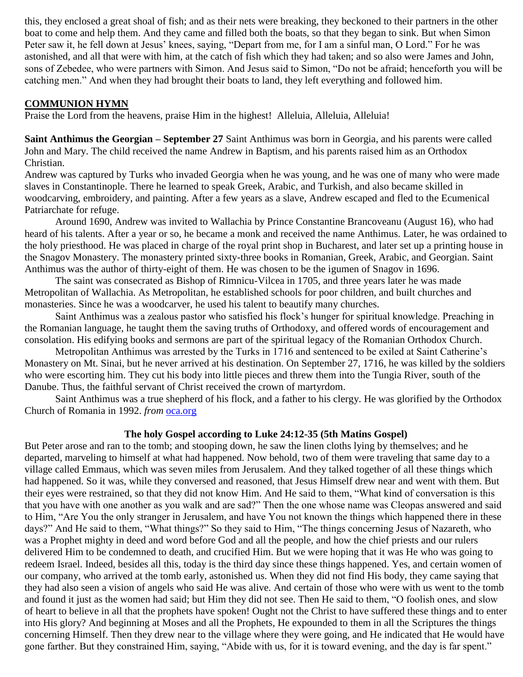this, they enclosed a great shoal of fish; and as their nets were breaking, they beckoned to their partners in the other boat to come and help them. And they came and filled both the boats, so that they began to sink. But when Simon Peter saw it, he fell down at Jesus' knees, saying, "Depart from me, for I am a sinful man, O Lord." For he was astonished, and all that were with him, at the catch of fish which they had taken; and so also were James and John, sons of Zebedee, who were partners with Simon. And Jesus said to Simon, "Do not be afraid; henceforth you will be catching men." And when they had brought their boats to land, they left everything and followed him.

### **COMMUNION HYMN**

Praise the Lord from the heavens, praise Him in the highest! Alleluia, Alleluia, Alleluia!

**Saint Anthimus the Georgian – September 27** Saint Anthimus was born in Georgia, and his parents were called John and Mary. The child received the name Andrew in Baptism, and his parents raised him as an Orthodox Christian.

Andrew was captured by Turks who invaded Georgia when he was young, and he was one of many who were made slaves in Constantinople. There he learned to speak Greek, Arabic, and Turkish, and also became skilled in woodcarving, embroidery, and painting. After a few years as a slave, Andrew escaped and fled to the Ecumenical Patriarchate for refuge.

Around 1690, Andrew was invited to Wallachia by Prince Constantine Brancoveanu (August 16), who had heard of his talents. After a year or so, he became a monk and received the name Anthimus. Later, he was ordained to the holy priesthood. He was placed in charge of the royal print shop in Bucharest, and later set up a printing house in the Snagov Monastery. The monastery printed sixty-three books in Romanian, Greek, Arabic, and Georgian. Saint Anthimus was the author of thirty-eight of them. He was chosen to be the igumen of Snagov in 1696.

The saint was consecrated as Bishop of Rimnicu-Vilcea in 1705, and three years later he was made Metropolitan of Wallachia. As Metropolitan, he established schools for poor children, and built churches and monasteries. Since he was a woodcarver, he used his talent to beautify many churches.

Saint Anthimus was a zealous pastor who satisfied his flock's hunger for spiritual knowledge. Preaching in the Romanian language, he taught them the saving truths of Orthodoxy, and offered words of encouragement and consolation. His edifying books and sermons are part of the spiritual legacy of the Romanian Orthodox Church.

Metropolitan Anthimus was arrested by the Turks in 1716 and sentenced to be exiled at Saint Catherine's Monastery on Mt. Sinai, but he never arrived at his destination. On September 27, 1716, he was killed by the soldiers who were escorting him. They cut his body into little pieces and threw them into the Tungia River, south of the Danube. Thus, the faithful servant of Christ received the crown of martyrdom.

Saint Anthimus was a true shepherd of his flock, and a father to his clergy. He was glorified by the Orthodox Church of Romania in 1992. *from* [oca.org](https://www.oca.org/saints/lives/2020/09/27/149021-saint-anthimus-the-georgian)

## **The holy Gospel according to Luke 24:12-35 (5th Matins Gospel)**

But Peter arose and ran to the tomb; and stooping down, he saw the linen cloths lying by themselves; and he departed, marveling to himself at what had happened. Now behold, two of them were traveling that same day to a village called Emmaus, which was seven miles from Jerusalem. And they talked together of all these things which had happened. So it was, while they conversed and reasoned, that Jesus Himself drew near and went with them. But their eyes were restrained, so that they did not know Him. And He said to them, "What kind of conversation is this that you have with one another as you walk and are sad?" Then the one whose name was Cleopas answered and said to Him, "Are You the only stranger in Jerusalem, and have You not known the things which happened there in these days?" And He said to them, "What things?" So they said to Him, "The things concerning Jesus of Nazareth, who was a Prophet mighty in deed and word before God and all the people, and how the chief priests and our rulers delivered Him to be condemned to death, and crucified Him. But we were hoping that it was He who was going to redeem Israel. Indeed, besides all this, today is the third day since these things happened. Yes, and certain women of our company, who arrived at the tomb early, astonished us. When they did not find His body, they came saying that they had also seen a vision of angels who said He was alive. And certain of those who were with us went to the tomb and found it just as the women had said; but Him they did not see. Then He said to them, "O foolish ones, and slow of heart to believe in all that the prophets have spoken! Ought not the Christ to have suffered these things and to enter into His glory? And beginning at Moses and all the Prophets, He expounded to them in all the Scriptures the things concerning Himself. Then they drew near to the village where they were going, and He indicated that He would have gone farther. But they constrained Him, saying, "Abide with us, for it is toward evening, and the day is far spent."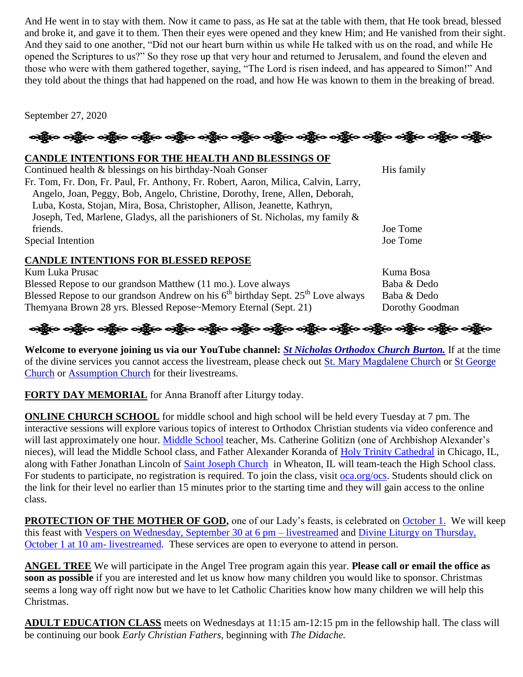And He went in to stay with them. Now it came to pass, as He sat at the table with them, that He took bread, blessed and broke it, and gave it to them. Then their eyes were opened and they knew Him; and He vanished from their sight. And they said to one another, "Did not our heart burn within us while He talked with us on the road, and while He opened the Scriptures to us?" So they rose up that very hour and returned to Jerusalem, and found the eleven and those who were with them gathered together, saying, "The Lord is risen indeed, and has appeared to Simon!" And they told about the things that had happened on the road, and how He was known to them in the breaking of bread.

September 27, 2020

## ခရွို့လ ခရွိ**့ သို့လ ခရွိသည့် သည့်လ သို့လ သို့လ သို့လ သို့လ သို့သည်။** သည့်လ သန်းလ သန်းလ သန်းလ

### **CANDLE INTENTIONS FOR THE HEALTH AND BLESSINGS OF**

Continued health & blessings on his birthday-Noah Gonser His family Fr. Tom, Fr. Don, Fr. Paul, Fr. Anthony, Fr. Robert, Aaron, Milica, Calvin, Larry, Angelo, Joan, Peggy, Bob, Angelo, Christine, Dorothy, Irene, Allen, Deborah, Luba, Kosta, Stojan, Mira, Bosa, Christopher, Allison, Jeanette, Kathryn, Joseph, Ted, Marlene, Gladys, all the parishioners of St. Nicholas, my family & friends. Joe Tome Special Intention Joe Tome

### **CANDLE INTENTIONS FOR BLESSED REPOSE**

Kum Luka Prusac **Kuma Bosa** Blessed Repose to our grandson Matthew (11 mo.). Love always Baba & Dedo Blessed Repose to our grandson Andrew on his  $6^{th}$  birthday Sept.  $25^{th}$  Love always Baba & Dedo Themyana Brown 28 yrs. Blessed Repose~Memory Eternal (Sept. 21) Dorothy Goodman

# ઓફ્રિંગ ઓફ્રિંગ ઓફ્રિંગ ઓફ્રિંગ ઓફ્રિંગ ઓફ્રિંગ ઓફ્રિંગ ઓફ્રિંગ ઓફ્રિંગ ઓફ્રિંગ ઓફ્રિંગ ઓફ્રિંગ

**Welcome to everyone joining us via our YouTube channel:** *[St Nicholas Orthodox Church Burton.](https://www.youtube.com/channel/UC59tV-Re443z-GCoETAUvfA)* If at the time of the divine services you cannot access the livestream, please check out [St. Mary Magdalene Church](https://www.youtube.com/channel/UClHAqZrWkXdYELujbbIslHg) or [St George](https://www.youtube.com/channel/UCpLWfxMIJK4uQOV41ekE6Wg/videos?view=2&flow=grid)  [Church](https://www.youtube.com/channel/UCpLWfxMIJK4uQOV41ekE6Wg/videos?view=2&flow=grid) or [Assumption Church](https://www.facebook.com/AssumptionGrandBlanc/) for their livestreams.

**FORTY DAY MEMORIAL** for Anna Branoff after Liturgy today.

**ONLINE CHURCH SCHOOL** for middle school and high school will be held every Tuesday at 7 pm. The interactive sessions will explore various topics of interest to Orthodox Christian students via video conference and will last approximately one hour. [Middle School](https://www.stjohnsacademysf.org/) teacher, Ms. Catherine Golitizn (one of Archbishop Alexander's nieces), will lead the Middle School class, and Father Alexander Koranda of [Holy Trinity Cathedral](https://www.oca.org/parishes/oca-mw-chihtk) in Chicago, IL, along with Father Jonathan Lincoln of [Saint Joseph Church](https://www.oca.org/parishes/oca-mw-aursjc) in Wheaton, IL will team-teach the High School class. For students to participate, no registration is required. To join the class, visit [oca.org/ocs.](https://www.oca.org/ocs) Students should click on the link for their level no earlier than 15 minutes prior to the starting time and they will gain access to the online class.

**PROTECTION OF THE MOTHER OF GOD,** one of our Lady's feasts, is celebrated on [October 1.](https://www.oca.org/saints/lives/2020/10/01/102824-the-protection-of-our-most-holy-lady-the-mother-of-god-and-ever) We will keep this feast with [Vespers on Wednesday, September 30](https://www.youtube.com/watch?v=sH8u6ZLvDro) at 6 pm – livestreamed and Divine Liturgy on Thursday, [October 1 at 10 am-](https://www.youtube.com/watch?v=-Um14z7O1aw) livestreamed. These services are open to everyone to attend in person.

**ANGEL TREE** We will participate in the Angel Tree program again this year. **Please call or email the office as soon as possible** if you are interested and let us know how many children you would like to sponsor. Christmas seems a long way off right now but we have to let Catholic Charities know how many children we will help this Christmas.

**ADULT EDUCATION CLASS** meets on Wednesdays at 11:15 am-12:15 pm in the fellowship hall. The class will be continuing our book *Early Christian Fathers,* beginning with *The Didache.*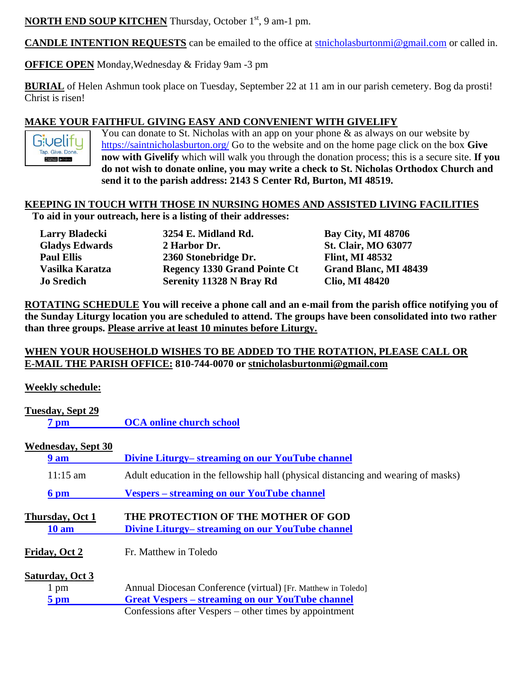**NORTH END SOUP KITCHEN** Thursday, October 1<sup>st</sup>, 9 am-1 pm.

**CANDLE INTENTION REQUESTS** can be emailed to the office at [stnicholasburtonmi@gmail.com](mailto:stnicholasburtonmi@gmail.com) or called in.

**OFFICE OPEN** Monday,Wednesday & Friday 9am -3 pm

**BURIAL** of Helen Ashmun took place on Tuesday, September 22 at 11 am in our parish cemetery. Bog da prosti! Christ is risen!

### **MAKE YOUR FAITHFUL GIVING EASY AND CONVENIENT WITH GIVELIFY**

Givelify Tap. Give. Done.  $\begin{tabular}{|c|c|c|c|} \hline & Aron-Score & & & Dropic play.\\ \hline \end{tabular}$ 

You can donate to St. Nicholas with an app on your phone  $\&$  as always on our website by <https://saintnicholasburton.org/> Go to the website and on the home page click on the box **Give now with Givelify** which will walk you through the donation process; this is a secure site. **If you do not wish to donate online, you may write a check to St. Nicholas Orthodox Church and send it to the parish address: 2143 S Center Rd, Burton, MI 48519.**

### **KEEPING IN TOUCH WITH THOSE IN NURSING HOMES AND ASSISTED LIVING FACILITIES To aid in your outreach, here is a listing of their addresses:**

| <b>Larry Bladecki</b> | 3254 E. Midland Rd.                 | <b>Bay City, MI 48706</b>    |
|-----------------------|-------------------------------------|------------------------------|
| <b>Gladys Edwards</b> | 2 Harbor Dr.                        | <b>St. Clair, MO 63077</b>   |
| <b>Paul Ellis</b>     | 2360 Stonebridge Dr.                | <b>Flint, MI 48532</b>       |
| Vasilka Karatza       | <b>Regency 1330 Grand Pointe Ct</b> | <b>Grand Blanc, MI 48439</b> |
| <b>Jo Sredich</b>     | Serenity 11328 N Bray Rd            | <b>Clio, MI 48420</b>        |

**ROTATING SCHEDULE You will receive a phone call and an e-mail from the parish office notifying you of the Sunday Liturgy location you are scheduled to attend. The groups have been consolidated into two rather than three groups. Please arrive at least 10 minutes before Liturgy.**

### **WHEN YOUR HOUSEHOLD WISHES TO BE ADDED TO THE ROTATION, PLEASE CALL OR E-MAIL THE PARISH OFFICE: 810-744-0070 or [stnicholasburtonmi@gmail.com](mailto:stnicholasburtonmi@gmail.com)**

**Weekly schedule:**

| Tuesday, Sept 29<br>7 pm        | <b>OCA online church school</b>                                                         |  |
|---------------------------------|-----------------------------------------------------------------------------------------|--|
| <b>Wednesday, Sept 30</b>       |                                                                                         |  |
| 9 am                            | Divine Liturgy– streaming on our YouTube channel                                        |  |
| $11:15 \text{ am}$              | Adult education in the fellowship hall (physical distancing and wearing of masks)       |  |
| 6 pm                            | <b>Vespers</b> – streaming on our YouTube channel                                       |  |
| Thursday, Oct 1<br><b>10 am</b> | THE PROTECTION OF THE MOTHER OF GOD<br>Divine Liturgy– streaming on our YouTube channel |  |
| Friday, Oct 2                   | Fr. Matthew in Toledo                                                                   |  |
| Saturday, Oct 3                 |                                                                                         |  |
| 1 pm                            | Annual Diocesan Conference (virtual) [Fr. Matthew in Toledo]                            |  |
| $5~\mathrm{pm}$                 | <b>Great Vespers – streaming on our YouTube channel</b>                                 |  |
|                                 | Confessions after Vespers – other times by appointment                                  |  |